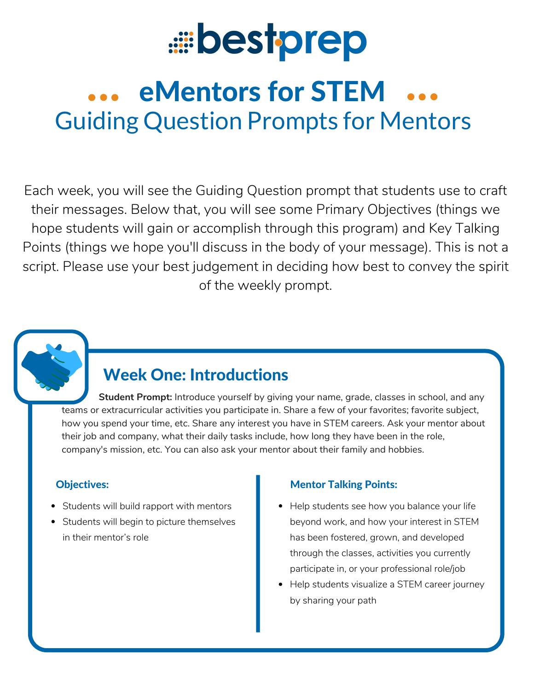

# eMentors for STEM Guiding Question Prompts for Mentors

Each week, you will see the Guiding Question prompt that students use to craft their messages. Below that, you will see some Primary Objectives (things we hope students will gain or accomplish through this program) and Key Talking Points (things we hope you'll discuss in the body of your message). This is not a script. Please use your best judgement in deciding how best to convey the spirit of the weekly prompt.



## Week One: Introductions

**Student Prompt:** Introduce yourself by giving your name, grade, classes in school, and any teams or extracurricular activities you participate in. Share a few of your favorites; favorite subject, how you spend your time, etc. Share any interest you have in STEM careers. Ask your mentor about their job and company, what their daily tasks include, how long they have been in the role, company's mission, etc. You can also ask your mentor about their family and hobbies.

- Students will build rapport with mentors
- Students will begin to picture themselves in their mentor's role

- Help students see how you balance your life beyond work, and how your interest in STEM has been fostered, grown, and developed through the classes, activities you currently participate in, or your professional role/job
- Help students visualize a STEM career journey by sharing your path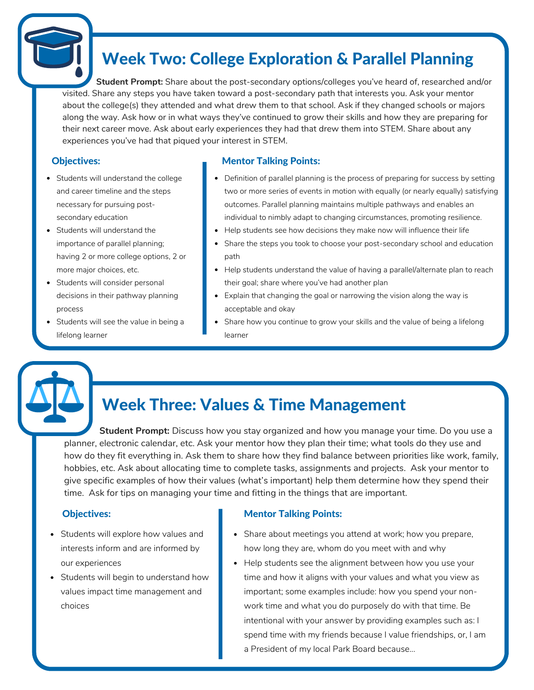## Week Two: College Exploration & Parallel Planning

**Student Prompt:** Share about the post-secondary options/colleges you've heard of, researched and/or visited. Share any steps you have taken toward a post-secondary path that interests you. Ask your mentor about the college(s) they attended and what drew them to that school. Ask if they changed schools or majors along the way. Ask how or in what ways they've continued to grow their skills and how they are preparing for their next career move. Ask about early experiences they had that drew them into STEM. Share about any experiences you've had that piqued your interest in STEM.

- Students will understand the college and career timeline and the steps necessary for pursuing postsecondary education
- Students will understand the importance of parallel planning; having 2 or more college options, 2 or more major choices, etc.
- Students will consider personal decisions in their pathway planning process
- Students will see the value in being a lifelong learner

### Objectives: Mentor Talking Points:

- Definition of parallel planning is the process of preparing for success by setting two or more series of events in motion with equally (or nearly equally) satisfying outcomes. Parallel planning maintains multiple pathways and enables an individual to nimbly adapt to changing circumstances, promoting resilience.
- Help students see how decisions they make now will influence their life
- Share the steps you took to choose your post-secondary school and education path
- Help students understand the value of having a parallel/alternate plan to reach their goal; share where you've had another plan
- Explain that changing the goal or narrowing the vision along the way is acceptable and okay
- Share how you continue to grow your skills and the value of being a lifelong learner

## Week Three: Values & Time Management

**Student Prompt:** Discuss how you stay organized and how you manage your time. Do you use a planner, electronic calendar, etc. Ask your mentor how they plan their time; what tools do they use and how do they fit everything in. Ask them to share how they find balance between priorities like work, family, hobbies, etc. Ask about allocating time to complete tasks, assignments and projects. Ask your mentor to give specific examples of how their values (what's important) help them determine how they spend their time. Ask for tips on managing your time and fitting in the things that are important.

- Students will explore how values and interests inform and are informed by our experiences
- Students will begin to understand how values impact time management and choices

- Share about meetings you attend at work; how you prepare, how long they are, whom do you meet with and why
- Help students see the alignment between how you use your time and how it aligns with your values and what you view as important; some examples include: how you spend your nonwork time and what you do purposely do with that time. Be intentional with your answer by providing examples such as: I spend time with my friends because I value friendships, or, I am a President of my local Park Board because...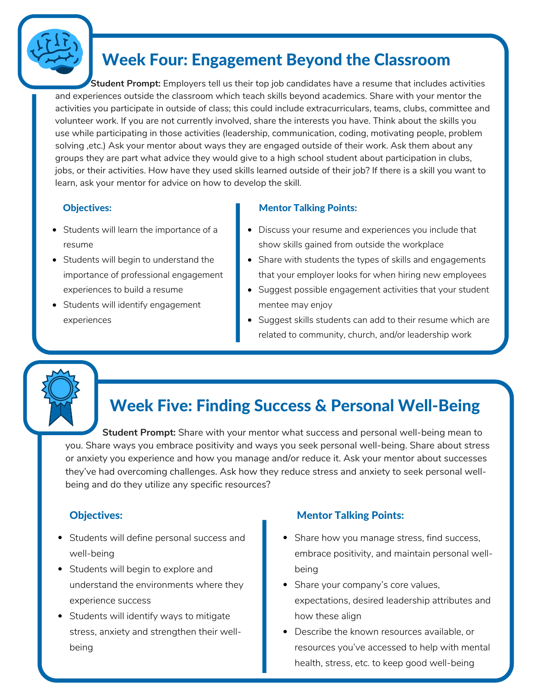

## Week Four: Engagement Beyond the Classroom

**Student Prompt:** Employers tell us their top job candidates have a resume that includes activities and experiences outside the classroom which teach skills beyond academics. Share with your mentor the activities you participate in outside of class; this could include extracurriculars, teams, clubs, committee and volunteer work. If you are not currently involved, share the interests you have. Think about the skills you use while participating in those activities (leadership, communication, coding, motivating people, problem solving ,etc.) Ask your mentor about ways they are engaged outside of their work. Ask them about any groups they are part what advice they would give to a high school student about participation in clubs, jobs, or their activities. How have they used skills learned outside of their job? If there is a skill you want to learn, ask your mentor for advice on how to develop the skill.

- Students will learn the importance of a resume
- Students will begin to understand the importance of professional engagement experiences to build a resume
- Students will identify engagement experiences

### **Objectives:** Mentor Talking Points:

- Discuss your resume and experiences you include that show skills gained from outside the workplace
- Share with students the types of skills and engagements that your employer looks for when hiring new employees
- Suggest possible engagement activities that your student mentee may enjoy
- Suggest skills students can add to their resume which are related to community, church, and/or leadership work

## Week Five: Finding Success & Personal Well-Being

**Student Prompt:** Share with your mentor what success and personal well-being mean to you. Share ways you embrace positivity and ways you seek personal well-being. Share about stress or anxiety you experience and how you manage and/or reduce it. Ask your mentor about successes they've had overcoming challenges. Ask how they reduce stress and anxiety to seek personal wellbeing and do they utilize any specific resources?

- Students will define personal success and well-being
- Students will begin to explore and understand the environments where they experience success
- Students will identify ways to mitigate stress, anxiety and strengthen their wellbeing

- Share how you manage stress, find success, embrace positivity, and maintain personal wellbeing
- Share your company's core values, expectations, desired leadership attributes and how these align
- Describe the known resources available, or resources you've accessed to help with mental health, stress, etc. to keep good well-being